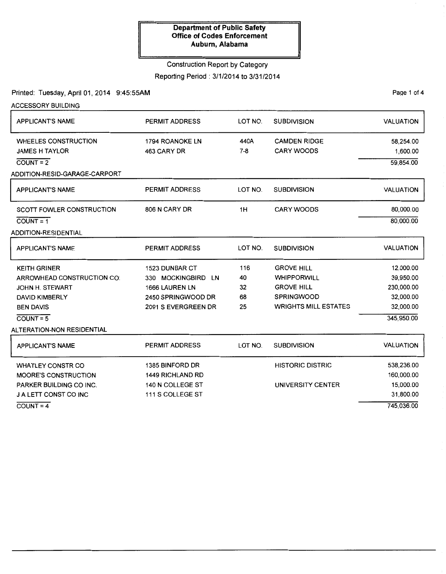Construction Report by Category

Reporting Period: 3/1/2014 to 3/31/2014

Printed: Tuesday, April 01, 2014 9:45:55AM

Page 1 of 4

| <b>ACCESSORY BUILDING</b>     |                        |                                   |                         |                  |
|-------------------------------|------------------------|-----------------------------------|-------------------------|------------------|
| <b>APPLICANT'S NAME</b>       | <b>PERMIT ADDRESS</b>  | LOT NO.<br><b>SUBDIVISION</b>     |                         | <b>VALUATION</b> |
| <b>WHEELES CONSTRUCTION</b>   | 1794 ROANOKE LN        | 440A                              | <b>CAMDEN RIDGE</b>     | 58,254.00        |
| <b>JAMES H TAYLOR</b>         | $7 - 8$<br>463 CARY DR |                                   | <b>CARY WOODS</b>       | 1,600.00         |
| $COUNT = 2$                   |                        |                                   |                         | 59,854.00        |
| ADDITION-RESID-GARAGE-CARPORT |                        |                                   |                         |                  |
| <b>APPLICANT'S NAME</b>       | <b>PERMIT ADDRESS</b>  | LOT NO.<br><b>SUBDIVISION</b>     |                         | <b>VALUATION</b> |
| SCOTT FOWLER CONSTRUCTION     | 806 N CARY DR          | <b>CARY WOODS</b><br>1H           |                         |                  |
| $COUNT = 1$                   |                        |                                   |                         | 80,000.00        |
| <b>ADDITION-RESIDENTIAL</b>   |                        |                                   |                         |                  |
| <b>APPLICANT'S NAME</b>       | <b>PERMIT ADDRESS</b>  | LOT NO.                           | <b>SUBDIVISION</b>      | <b>VALUATION</b> |
| <b>KEITH GRINER</b>           | <b>1523 DUNBAR CT</b>  | 116                               | <b>GROVE HILL</b>       | 12,000.00        |
| ARROWHEAD CONSTRUCTION CO.    | 330 MOCKINGBIRD LN     | 40                                | <b>WHIPPORWILL</b>      | 39,950.00        |
| JOHN H. STEWART               | 1666 LAUREN LN         | 32                                | <b>GROVE HILL</b>       | 230,000.00       |
| <b>DAVID KIMBERLY</b>         | 2450 SPRINGWOOD DR     | 68                                | <b>SPRINGWOOD</b>       | 32,000.00        |
| <b>BEN DAVIS</b>              | 2091 S EVERGREEN DR    | <b>WRIGHTS MILL ESTATES</b><br>25 |                         | 32,000.00        |
| $COUNT = 5$                   |                        |                                   |                         | 345,950.00       |
| ALTERATION-NON RESIDENTIAL    |                        |                                   |                         |                  |
| <b>APPLICANT'S NAME</b>       | <b>PERMIT ADDRESS</b>  | LOT NO.                           | <b>SUBDIVISION</b>      | <b>VALUATION</b> |
| <b>WHATLEY CONSTR CO</b>      | 1385 BINFORD DR        |                                   | <b>HISTORIC DISTRIC</b> | 538,236.00       |
| <b>MOORE'S CONSTRUCTION</b>   | 1449 RICHLAND RD       |                                   |                         | 160,000.00       |
| PARKER BUILDING CO INC.       | 140 N COLLEGE ST       |                                   | UNIVERSITY CENTER       | 15,000.00        |
| J A LETT CONST CO INC         | 111 S COLLEGE ST       |                                   |                         | 31,800.00        |
| $COUNT = 4$                   |                        |                                   |                         | 745,036.00       |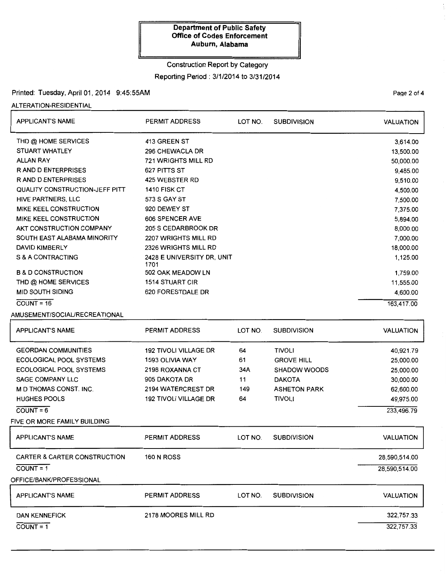# Construction Report by Category Reporting Period: 3/1/2014 to 3/31/2014

# Printed: Tuesday, April 01, 2014 9:45:55AM Page 2 of 4

### ALTERATION-RESIDENTIAL

| <b>APPLICANT'S NAME</b>                 | PERMIT ADDRESS                     | LOT NO.    | <b>SUBDIVISION</b> | <b>VALUATION</b> |  |  |
|-----------------------------------------|------------------------------------|------------|--------------------|------------------|--|--|
| THD @ HOME SERVICES                     | 413 GREEN ST                       |            |                    | 3,614.00         |  |  |
| <b>STUART WHATLEY</b>                   | 296 CHEWACLA DR                    | 13,500.00  |                    |                  |  |  |
| <b>ALLAN RAY</b>                        | <b>721 WRIGHTS MILL RD</b>         | 50,000.00  |                    |                  |  |  |
| <b>RAND DENTERPRISES</b>                | 627 PITTS ST                       |            |                    | 9,485.00         |  |  |
| <b>R AND D ENTERPRISES</b>              | 425 WEBSTER RD                     |            |                    | 9,510.00         |  |  |
| QUALITY CONSTRUCTION-JEFF PITT          | <b>1410 FISK CT</b>                |            |                    | 4,500.00         |  |  |
| HIVE PARTNERS, LLC                      | 573 S GAY ST                       |            |                    | 7,500.00         |  |  |
| MIKE KEEL CONSTRUCTION                  | 920 DEWEY ST                       |            |                    | 7,375.00         |  |  |
| <b>MIKE KEEL CONSTRUCTION</b>           | 606 SPENCER AVE                    |            |                    | 5,894.00         |  |  |
| AKT CONSTRUCTION COMPANY                | 205 S CEDARBROOK DR                |            |                    | 8,000.00         |  |  |
| SOUTH EAST ALABAMA MINORITY             | 2207 WRIGHTS MILL RD               |            |                    | 7,000.00         |  |  |
| <b>DAVID KIMBERLY</b>                   | 2326 WRIGHTS MILL RD               |            |                    | 18,000.00        |  |  |
| S & A CONTRACTING                       | 2428 E UNIVERSITY DR, UNIT<br>1701 |            |                    | 1,125.00         |  |  |
| <b>B &amp; D CONSTRUCTION</b>           | 502 OAK MEADOW LN                  |            |                    | 1,759.00         |  |  |
| THD @ HOME SERVICES                     | <b>1514 STUART CIR</b>             |            |                    | 11,555.00        |  |  |
| <b>MID SOUTH SIDING</b>                 | 620 FORESTDALE DR                  |            |                    | 4,600.00         |  |  |
| $COUNT = 16$                            |                                    |            |                    | 163,417.00       |  |  |
| AMUSEMENT/SOCIAL/RECREATIONAL           |                                    |            |                    |                  |  |  |
| <b>APPLICANT'S NAME</b>                 | <b>PERMIT ADDRESS</b>              | LOT NO.    | <b>SUBDIVISION</b> | <b>VALUATION</b> |  |  |
| <b>GEORDAN COMMUNITIES</b>              | <b>192 TIVOLI VILLAGE DR</b>       | 64         | <b>TIVOLI</b>      | 40,921.79        |  |  |
| <b>ECOLOGICAL POOL SYSTEMS</b>          | 1593 OLIVIA WAY                    | 25,000.00  |                    |                  |  |  |
| <b>ECOLOGICAL POOL SYSTEMS</b>          | 2198 ROXANNA CT                    | 25,000.00  |                    |                  |  |  |
| <b>SAGE COMPANY LLC</b>                 | 905 DAKOTA DR                      | 30,000.00  |                    |                  |  |  |
| <b>M D THOMAS CONST. INC.</b>           | 2194 WATERCREST DR                 | 62,600.00  |                    |                  |  |  |
| <b>HUGHES POOLS</b>                     | <b>192 TIVOLI VILLAGE DR</b>       | 49,975.00  |                    |                  |  |  |
| $COUNT = 6$                             |                                    | 233,496.79 |                    |                  |  |  |
| FIVE OR MORE FAMILY BUILDING            |                                    |            |                    |                  |  |  |
| <b>APPLICANT'S NAME</b>                 | <b>PERMIT ADDRESS</b>              | LOT NO.    | <b>SUBDIVISION</b> | VALUATION        |  |  |
| <b>CARTER &amp; CARTER CONSTRUCTION</b> | <b>160 N ROSS</b>                  |            |                    | 28,590,514.00    |  |  |
| $COUNT = 1$                             |                                    |            |                    | 28,590,514.00    |  |  |
| OFFICE/BANK/PROFESSIONAL                |                                    |            |                    |                  |  |  |
| <b>APPLICANT'S NAME</b>                 | <b>PERMIT ADDRESS</b>              | LOT NO.    | <b>SUBDIVISION</b> | <b>VALUATION</b> |  |  |
| <b>DAN KENNEFICK</b>                    | 2178 MOORES MILL RD                |            |                    | 322,757.33       |  |  |
| $COUNT = 1$                             |                                    |            |                    | 322,757.33       |  |  |
|                                         |                                    |            |                    |                  |  |  |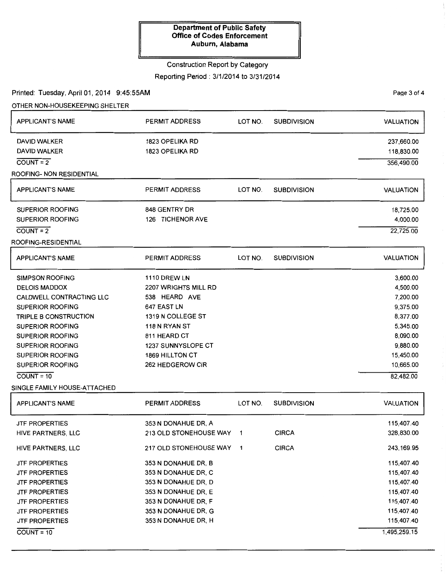# Construction Report by Category

Reporting Period: 3/1/2014 to 3/31/2014

PaQe 3 of 4

### Printed: Tuesday, April 01, 2014 9:45:55AM

OTHER NON-HOUSEKEEPING SHELTER

| <b>APPLICANT'S NAME</b>      | <b>PERMIT ADDRESS</b>    | LOT NO.    | <b>SUBDIVISION</b> | <b>VALUATION</b> |  |  |  |
|------------------------------|--------------------------|------------|--------------------|------------------|--|--|--|
| <b>DAVID WALKER</b>          | 1823 OPELIKA RD          |            |                    | 237,660.00       |  |  |  |
| <b>DAVID WALKER</b>          | 1823 OPELIKA RD          | 118,830.00 |                    |                  |  |  |  |
| $COUNT = 2$                  |                          |            |                    |                  |  |  |  |
| ROOFING- NON RESIDENTIAL     |                          |            |                    | 356,490.00       |  |  |  |
| APPLICANT'S NAME             | <b>PERMIT ADDRESS</b>    | LOT NO.    | <b>SUBDIVISION</b> | <b>VALUATION</b> |  |  |  |
| <b>SUPERIOR ROOFING</b>      | 848 GENTRY DR            |            |                    | 18,725.00        |  |  |  |
| <b>SUPERIOR ROOFING</b>      | 126 TICHENOR AVE         |            |                    | 4,000.00         |  |  |  |
| $COUNT = 2$                  |                          |            |                    | 22,725.00        |  |  |  |
| ROOFING-RESIDENTIAL          |                          |            |                    |                  |  |  |  |
| <b>APPLICANT'S NAME</b>      | <b>PERMIT ADDRESS</b>    | LOT NO.    | <b>SUBDIVISION</b> | <b>VALUATION</b> |  |  |  |
| <b>SIMPSON ROOFING</b>       | <b>1110 DREW LN</b>      |            |                    | 3,600.00         |  |  |  |
| <b>DELOIS MADDOX</b>         | 2207 WRIGHTS MILL RD     |            |                    | 4,500.00         |  |  |  |
| CALDWELL CONTRACTING LLC     | 538 HEARD AVE            |            |                    | 7,200.00         |  |  |  |
| <b>SUPERIOR ROOFING</b>      | 647 EAST LN              |            |                    | 9,375.00         |  |  |  |
| TRIPLE B CONSTRUCTION        | 1319 N COLLEGE ST        |            |                    | 8,377.00         |  |  |  |
| <b>SUPERIOR ROOFING</b>      | 118 N RYAN ST            |            |                    |                  |  |  |  |
| <b>SUPERIOR ROOFING</b>      | 811 HEARD CT             |            |                    | 8,090.00         |  |  |  |
| <b>SUPERIOR ROOFING</b>      | 1237 SUNNYSLOPE CT       |            |                    | 9,880.00         |  |  |  |
| SUPERIOR ROOFING             | <b>1869 HILLTON CT</b>   |            |                    | 15,450.00        |  |  |  |
| SUPERIOR ROOFING             | 262 HEDGEROW CIR         |            |                    | 10,665.00        |  |  |  |
| $COUNT = 10$                 |                          |            |                    | 82,482.00        |  |  |  |
| SINGLE FAMILY HOUSE-ATTACHED |                          |            |                    |                  |  |  |  |
| <b>APPLICANT'S NAME</b>      | PERMIT ADDRESS           | LOT NO.    | <b>SUBDIVISION</b> | <b>VALUATION</b> |  |  |  |
| <b>JTF PROPERTIES</b>        | 353 N DONAHUE DR, A      |            |                    | 115,407.40       |  |  |  |
| HIVE PARTNERS, LLC           | 213 OLD STONEHOUSE WAY 1 |            | <b>CIRCA</b>       | 328,830.00       |  |  |  |
| HIVE PARTNERS, LLC           | 217 OLD STONEHOUSE WAY 1 |            | <b>CIRCA</b>       | 243, 169.95      |  |  |  |
| <b>JTF PROPERTIES</b>        | 353 N DONAHUE DR, B      |            |                    | 115,407.40       |  |  |  |
| <b>JTF PROPERTIES</b>        | 353 N DONAHUE DR, C      |            |                    | 115,407.40       |  |  |  |
| <b>JTF PROPERTIES</b>        | 353 N DONAHUE DR, D      |            |                    | 115,407.40       |  |  |  |
| <b>JTF PROPERTIES</b>        | 353 N DONAHUE DR, E      |            |                    | 115,407.40       |  |  |  |
| <b>JTF PROPERTIES</b>        | 353 N DONAHUE DR, F      |            |                    | 115,407.40       |  |  |  |
| <b>JTF PROPERTIES</b>        | 353 N DONAHUE DR, G      |            |                    | 115,407.40       |  |  |  |
| <b>JTF PROPERTIES</b>        | 353 N DONAHUE DR, H      |            |                    | 115,407.40       |  |  |  |
| $COVNT = 10$                 |                          |            |                    | 1,495,259.15     |  |  |  |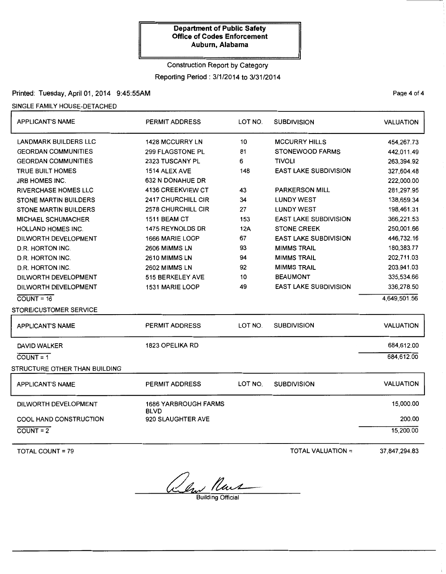# Construction Report by Category

Reporting Period: 3/1/2014 to 3/31/2014

### Printed: Tuesday, April 01, 2014 9:45:55AM

#### SINGLE FAMILY HOUSE-DETACHED

| <b>APPLICANT'S NAME</b>       | PERMIT ADDRESS                             | LOT NO.                            | <b>SUBDIVISION</b>           | <b>VALUATION</b> |  |
|-------------------------------|--------------------------------------------|------------------------------------|------------------------------|------------------|--|
| <b>LANDMARK BUILDERS LLC</b>  | 1428 MCCURRY LN                            | 10                                 | <b>MCCURRY HILLS</b>         | 454,267.73       |  |
| <b>GEORDAN COMMUNITIES</b>    | 299 FLAGSTONE PL                           | 81                                 | STONEWOOD FARMS              | 442,011.49       |  |
| <b>GEORDAN COMMUNITIES</b>    | 2323 TUSCANY PL                            | 6                                  | <b>TIVOLI</b>                | 263,394.92       |  |
| <b>TRUE BUILT HOMES</b>       | 1514 ALEX AVE                              | 148                                | <b>EAST LAKE SUBDIVISION</b> | 327,604.48       |  |
| <b>JRB HOMES INC.</b>         | 632 N DONAHUE DR                           |                                    |                              | 222,000.00       |  |
| <b>RIVERCHASE HOMES LLC</b>   | 4136 CREEKVIEW CT                          | 43                                 | <b>PARKERSON MILL</b>        | 281,297.95       |  |
| <b>STONE MARTIN BUILDERS</b>  | 2417 CHURCHILL CIR                         | 34                                 | <b>LUNDY WEST</b>            | 138,659.34       |  |
| <b>STONE MARTIN BUILDERS</b>  | 2578 CHURCHILL CIR                         | 27                                 | <b>LUNDY WEST</b>            | 198,461.31       |  |
| <b>MICHAEL SCHUMACHER</b>     | 1511 BEAM CT                               | 153                                | <b>EAST LAKE SUBDIVISION</b> | 366,221.53       |  |
| <b>HOLLAND HOMES INC.</b>     | 1475 REYNOLDS DR                           | <b>12A</b>                         | <b>STONE CREEK</b>           | 250,001.66       |  |
| DILWORTH DEVELOPMENT          | 1666 MARIE LOOP                            | 67                                 | <b>EAST LAKE SUBDIVISION</b> | 446,732.16       |  |
| D.R. HORTON INC.              | 2606 MIMMS LN                              | 93                                 | <b>MIMMS TRAIL</b>           | 180,383.77       |  |
| D.R. HORTON INC.              | 2610 MIMMS LN                              | <b>MIMMS TRAIL</b><br>94           |                              | 202,711.03       |  |
| D.R. HORTON INC.              | 2602 MIMMS LN                              | <b>MIMMS TRAIL</b><br>92           |                              | 203,941.03       |  |
| DILWORTH DEVELOPMENT          | 515 BERKELEY AVE                           | 10<br><b>BEAUMONT</b>              |                              | 335,534.66       |  |
| DILWORTH DEVELOPMENT          | 1531 MARIE LOOP                            | 49<br><b>EAST LAKE SUBDIVISION</b> |                              | 336,278.50       |  |
| $COUNT = 16$                  |                                            |                                    |                              | 4,649,501.56     |  |
| STORE/CUSTOMER SERVICE        |                                            |                                    |                              |                  |  |
| <b>APPLICANT'S NAME</b>       | <b>PERMIT ADDRESS</b>                      | LOT NO.                            | <b>SUBDIVISION</b>           | <b>VALUATION</b> |  |
| <b>DAVID WALKER</b>           | 1823 OPELIKA RD                            |                                    |                              | 684,612.00       |  |
| $COUNT = 1$                   |                                            |                                    |                              | 684,612.00       |  |
| STRUCTURE OTHER THAN BUILDING |                                            |                                    |                              |                  |  |
| <b>APPLICANT'S NAME</b>       | PERMIT ADDRESS                             | LOT NO.                            | <b>SUBDIVISION</b>           | <b>VALUATION</b> |  |
| DILWORTH DEVELOPMENT          | <b>1686 YARBROUGH FARMS</b><br><b>BLVD</b> |                                    |                              | 15,000.00        |  |
| <b>COOL HAND CONSTRUCTION</b> | 920 SLAUGHTER AVE                          |                                    |                              | 200.00           |  |
| $COUNT = 2$                   |                                            |                                    |                              | 15,200.00        |  |
|                               |                                            |                                    |                              |                  |  |

TOTAL COUNT= 79

TOTAL VALUATION= 37,847,294.83

alm Rus

PaQe 4 of 4